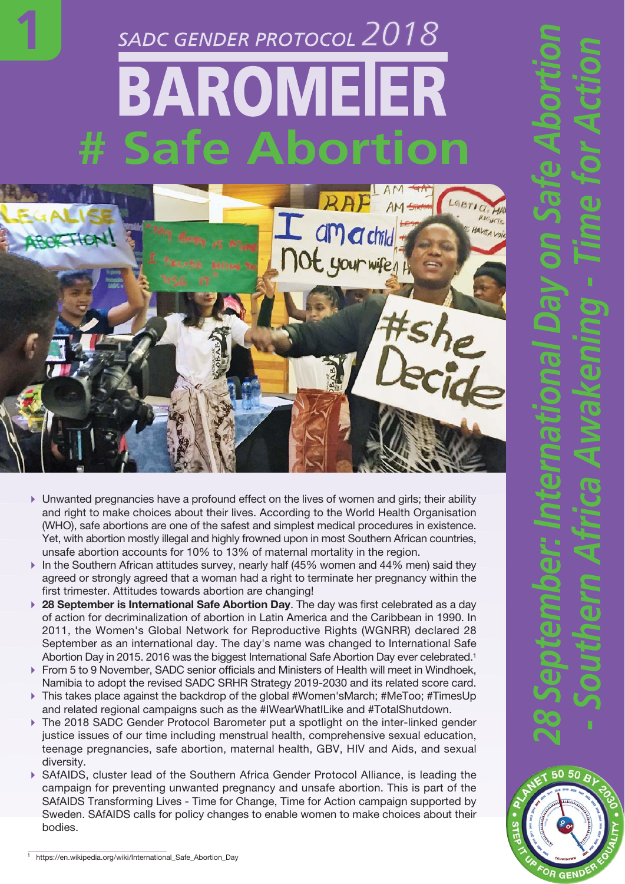## *2018* BAROMEIER **# Safe Abortion**

**1**



- Unwanted pregnancies have a profound effect on the lives of women and girls; their ability and right to make choices about their lives. According to the World Health Organisation (WHO), safe abortions are one of the safest and simplest medical procedures in existence. Yet, with abortion mostly illegal and highly frowned upon in most Southern African countries, unsafe abortion accounts for 10% to 13% of maternal mortality in the region.
- In the Southern African attitudes survey, nearly half  $(45%$  women and  $44%$  men) said they agreed or strongly agreed that a woman had a right to terminate her pregnancy within the first trimester. Attitudes towards abortion are changing!
- **28 September is International Safe Abortion Day**. The day was first celebrated as a day of action for decriminalization of abortion in Latin America and the Caribbean in 1990. In 2011, the Women's Global Network for Reproductive Rights (WGNRR) declared 28 September as an international day. The day's name was changed to International Safe Abortion Day in 2015. 2016 was the biggest International Safe Abortion Day ever celebrated.<sup>1</sup>
- From 5 to 9 November, SADC senior officials and Ministers of Health will meet in Windhoek, Namibia to adopt the revised SADC SRHR Strategy 2019-2030 and its related score card.
- This takes place against the backdrop of the global #Women'sMarch; #MeToo; #TimesUp and related regional campaigns such as the #IWearWhatILike and #TotalShutdown.
- ▶ The 2018 SADC Gender Protocol Barometer put a spotlight on the inter-linked gender justice issues of our time including menstrual health, comprehensive sexual education, teenage pregnancies, safe abortion, maternal health, GBV, HIV and Aids, and sexual diversity.
- ▶ SAfAIDS, cluster lead of the Southern Africa Gender Protocol Alliance, is leading the campaign for preventing unwanted pregnancy and unsafe abortion. This is part of the SAfAIDS Transforming Lives - Time for Change, Time for Action campaign supported by Sweden. SAfAIDS calls for policy changes to enable women to make choices about their bodies.

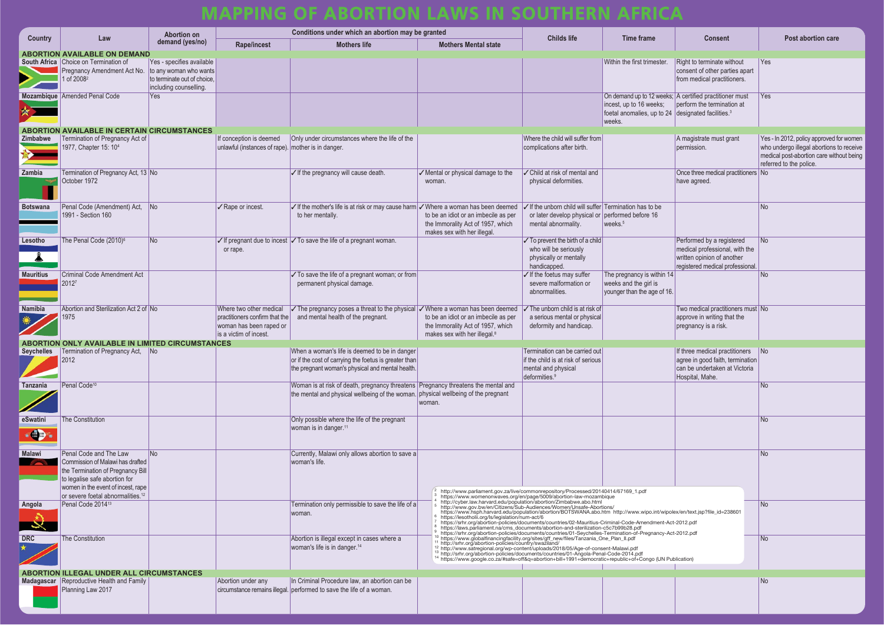|           | <b>Consent</b>                                                                                                                |  | <b>Post abortion care</b>                                                                                                                                   |  |  |  |  |
|-----------|-------------------------------------------------------------------------------------------------------------------------------|--|-------------------------------------------------------------------------------------------------------------------------------------------------------------|--|--|--|--|
|           | Right to terminate without<br>consent of other parties apart<br>from medical practitioners.                                   |  | Yes                                                                                                                                                         |  |  |  |  |
| 24        | ks; A certified practitioner must<br>perform the termination at<br>designated facilities. <sup>3</sup>                        |  | Yes                                                                                                                                                         |  |  |  |  |
|           | A magistrate must grant<br>permission.                                                                                        |  | Yes - In 2012, policy approved for women<br>who undergo illegal abortions to receive<br>medical post-abortion care without being<br>referred to the police. |  |  |  |  |
|           | Once three medical practitioners<br>have agreed.                                                                              |  | <b>No</b>                                                                                                                                                   |  |  |  |  |
|           |                                                                                                                               |  | <b>No</b>                                                                                                                                                   |  |  |  |  |
|           | Performed by a registered<br>medical professional, with the<br>written opinion of another<br>registered medical professional. |  | <b>No</b>                                                                                                                                                   |  |  |  |  |
| 14<br>16. |                                                                                                                               |  | <b>No</b>                                                                                                                                                   |  |  |  |  |
|           | Two medical practitioners must No<br>approve in writing that the<br>pregnancy is a risk.                                      |  |                                                                                                                                                             |  |  |  |  |
|           | If three medical practitioners<br>agree in good faith, termination<br>can be undertaken at Victoria<br>Hospital, Mahe.        |  | No                                                                                                                                                          |  |  |  |  |
|           |                                                                                                                               |  | <b>No</b>                                                                                                                                                   |  |  |  |  |
|           |                                                                                                                               |  | <b>No</b>                                                                                                                                                   |  |  |  |  |
|           |                                                                                                                               |  | <b>No</b>                                                                                                                                                   |  |  |  |  |
|           | polex/en/text.jsp?file_id=238601<br>Act-2012.pdf                                                                              |  | <b>No</b>                                                                                                                                                   |  |  |  |  |
|           | Act-2012.pdf<br>Publication)                                                                                                  |  | <b>No</b>                                                                                                                                                   |  |  |  |  |
|           |                                                                                                                               |  |                                                                                                                                                             |  |  |  |  |
|           |                                                                                                                               |  | <b>No</b>                                                                                                                                                   |  |  |  |  |

| <b>Country</b>   | Law                                                                                                               | <b>Abortion on</b><br>demand (yes/no) | Conditions under which an abortion may be granted                             |                                                                                                                                                                         |                                                                                                                                                                                                                                                                       | <b>Childs life</b>                                                                                                                                                                                                                   | Time frame                                                     | <b>Consent</b>                                                                        | <b>Post abortion care</b>                                           |
|------------------|-------------------------------------------------------------------------------------------------------------------|---------------------------------------|-------------------------------------------------------------------------------|-------------------------------------------------------------------------------------------------------------------------------------------------------------------------|-----------------------------------------------------------------------------------------------------------------------------------------------------------------------------------------------------------------------------------------------------------------------|--------------------------------------------------------------------------------------------------------------------------------------------------------------------------------------------------------------------------------------|----------------------------------------------------------------|---------------------------------------------------------------------------------------|---------------------------------------------------------------------|
|                  |                                                                                                                   |                                       | <b>Rape/incest</b>                                                            | <b>Mothers life</b>                                                                                                                                                     | <b>Mothers Mental state</b>                                                                                                                                                                                                                                           |                                                                                                                                                                                                                                      |                                                                |                                                                                       |                                                                     |
|                  | <b>ABORTION AVAILABLE ON DEMAND</b><br>South Africa Choice on Termination of                                      | Yes - specifies available             |                                                                               |                                                                                                                                                                         |                                                                                                                                                                                                                                                                       |                                                                                                                                                                                                                                      | Within the first trimester                                     | Right to terminate without                                                            | Yes                                                                 |
|                  | Pregnancy Amendment Act No.                                                                                       | to any woman who wants                |                                                                               |                                                                                                                                                                         |                                                                                                                                                                                                                                                                       |                                                                                                                                                                                                                                      |                                                                | consent of other parties apart                                                        |                                                                     |
|                  | 1 of 2008 <sup>2</sup>                                                                                            | to terminate out of choice,           |                                                                               |                                                                                                                                                                         |                                                                                                                                                                                                                                                                       |                                                                                                                                                                                                                                      |                                                                | from medical practitioners.                                                           |                                                                     |
|                  |                                                                                                                   | including counselling.                |                                                                               |                                                                                                                                                                         |                                                                                                                                                                                                                                                                       |                                                                                                                                                                                                                                      |                                                                |                                                                                       |                                                                     |
|                  | Mozambique Amended Penal Code                                                                                     | Yes                                   |                                                                               |                                                                                                                                                                         |                                                                                                                                                                                                                                                                       |                                                                                                                                                                                                                                      | incest, up to 16 weeks;                                        | On demand up to 12 weeks; A certified practitioner must<br>perform the termination at | Yes                                                                 |
|                  |                                                                                                                   |                                       |                                                                               |                                                                                                                                                                         |                                                                                                                                                                                                                                                                       |                                                                                                                                                                                                                                      | foetal anomalies, up to 24 designated facilities. <sup>3</sup> |                                                                                       |                                                                     |
|                  |                                                                                                                   |                                       |                                                                               |                                                                                                                                                                         |                                                                                                                                                                                                                                                                       |                                                                                                                                                                                                                                      | weeks.                                                         |                                                                                       |                                                                     |
|                  | <b>ABORTION AVAILABLE IN CERTAIN CIRCUMSTANCES</b>                                                                |                                       |                                                                               |                                                                                                                                                                         |                                                                                                                                                                                                                                                                       |                                                                                                                                                                                                                                      |                                                                |                                                                                       |                                                                     |
| Zimbabwe         | Termination of Pregnancy Act of<br>1977, Chapter 15: 104                                                          |                                       | If conception is deemed<br>unlawful (instances of rape). mother is in danger. | Only under circumstances where the life of the                                                                                                                          |                                                                                                                                                                                                                                                                       | Where the child will suffer from<br>complications after birth.                                                                                                                                                                       |                                                                | A magistrate must grant<br>permission.                                                | Yes - In 2012, policy approved f<br>who undergo illegal abortions t |
|                  |                                                                                                                   |                                       |                                                                               |                                                                                                                                                                         |                                                                                                                                                                                                                                                                       |                                                                                                                                                                                                                                      |                                                                |                                                                                       | medical post-abortion care with                                     |
|                  |                                                                                                                   |                                       |                                                                               |                                                                                                                                                                         |                                                                                                                                                                                                                                                                       |                                                                                                                                                                                                                                      |                                                                |                                                                                       | referred to the police.                                             |
| Zambia           | Termination of Pregnancy Act, 13 No                                                                               |                                       |                                                                               | $\sqrt{}$ If the pregnancy will cause death.                                                                                                                            | $\sqrt{}$ Mental or physical damage to the                                                                                                                                                                                                                            | ✓ Child at risk of mental and                                                                                                                                                                                                        |                                                                | Once three medical practitioners No                                                   |                                                                     |
|                  | October 1972                                                                                                      |                                       |                                                                               |                                                                                                                                                                         | woman.                                                                                                                                                                                                                                                                | physical deformities.                                                                                                                                                                                                                |                                                                | have agreed.                                                                          |                                                                     |
|                  |                                                                                                                   |                                       |                                                                               |                                                                                                                                                                         |                                                                                                                                                                                                                                                                       |                                                                                                                                                                                                                                      |                                                                |                                                                                       |                                                                     |
| <b>Botswana</b>  | Penal Code (Amendment) Act,                                                                                       | No l                                  | √ Rape or incest.                                                             | If the mother's life is at risk or may cause harm V Where a woman has been deemed                                                                                       |                                                                                                                                                                                                                                                                       | $\sqrt{}$ If the unborn child will suffer Termination has to be                                                                                                                                                                      |                                                                |                                                                                       | <b>No</b>                                                           |
|                  | 1991 - Section 160                                                                                                |                                       |                                                                               | to her mentally.                                                                                                                                                        | to be an idiot or an imbecile as per                                                                                                                                                                                                                                  | or later develop physical or                                                                                                                                                                                                         | performed before 16                                            |                                                                                       |                                                                     |
|                  |                                                                                                                   |                                       |                                                                               |                                                                                                                                                                         | the Immorality Act of 1957, which<br>makes sex with her illegal.                                                                                                                                                                                                      | mental abnormality.                                                                                                                                                                                                                  | weeks. <sup>5</sup>                                            |                                                                                       |                                                                     |
| Lesotho          | The Penal Code (2010) <sup>6</sup>                                                                                | N <sub>o</sub>                        |                                                                               | $\checkmark$ If pregnant due to incest $\checkmark$ To save the life of a pregnant woman.                                                                               |                                                                                                                                                                                                                                                                       | $\checkmark$ To prevent the birth of a child                                                                                                                                                                                         |                                                                | Performed by a registered                                                             | <b>No</b>                                                           |
|                  |                                                                                                                   |                                       | or rape.                                                                      |                                                                                                                                                                         |                                                                                                                                                                                                                                                                       | who will be seriously                                                                                                                                                                                                                |                                                                | medical professional, with the                                                        |                                                                     |
|                  |                                                                                                                   |                                       |                                                                               |                                                                                                                                                                         |                                                                                                                                                                                                                                                                       | physically or mentally                                                                                                                                                                                                               |                                                                | written opinion of another                                                            |                                                                     |
| <b>Mauritius</b> | <b>Criminal Code Amendment Act</b>                                                                                |                                       |                                                                               | $\sqrt{}$ To save the life of a pregnant woman; or from                                                                                                                 |                                                                                                                                                                                                                                                                       | handicapped<br>√ If the foetus may suffer                                                                                                                                                                                            | The pregnancy is within 14                                     | registered medical professional.                                                      | <b>No</b>                                                           |
|                  | 20127                                                                                                             |                                       |                                                                               | permanent physical damage.                                                                                                                                              |                                                                                                                                                                                                                                                                       | severe malformation or                                                                                                                                                                                                               | weeks and the girl is                                          |                                                                                       |                                                                     |
|                  |                                                                                                                   |                                       |                                                                               |                                                                                                                                                                         |                                                                                                                                                                                                                                                                       | abnormalities.                                                                                                                                                                                                                       | younger than the age of 16.                                    |                                                                                       |                                                                     |
| <b>Namibia</b>   | Abortion and Sterilization Act 2 of No                                                                            |                                       | Where two other medical                                                       | $\sqrt{}$ The pregnancy poses a threat to the physical                                                                                                                  | √ Where a woman has been deemed                                                                                                                                                                                                                                       | $\checkmark$ The unborn child is at risk of                                                                                                                                                                                          |                                                                | Two medical practitioners must No                                                     |                                                                     |
|                  | 1975                                                                                                              |                                       | practitioners confirm that the                                                | and mental health of the pregnant.                                                                                                                                      | to be an idiot or an imbecile as per                                                                                                                                                                                                                                  | a serious mental or physical                                                                                                                                                                                                         |                                                                | approve in writing that the                                                           |                                                                     |
|                  |                                                                                                                   |                                       | woman has been raped or                                                       |                                                                                                                                                                         | the Immorality Act of 1957, which                                                                                                                                                                                                                                     | deformity and handicap.                                                                                                                                                                                                              |                                                                | pregnancy is a risk.                                                                  |                                                                     |
|                  |                                                                                                                   |                                       | is a victim of incest.                                                        |                                                                                                                                                                         | makes sex with her illegal. <sup>8</sup>                                                                                                                                                                                                                              |                                                                                                                                                                                                                                      |                                                                |                                                                                       |                                                                     |
|                  | <b>ABORTION ONLY AVAILABLE IN LIMITED CIRCUMSTANCES</b><br><b>Seychelles</b>   Termination of Pregnancy Act,   No |                                       |                                                                               | When a woman's life is deemed to be in danger                                                                                                                           |                                                                                                                                                                                                                                                                       | Termination can be carried out                                                                                                                                                                                                       |                                                                | If three medical practitioners   No                                                   |                                                                     |
|                  | 2012                                                                                                              |                                       |                                                                               | or if the cost of carrying the foetus is greater than                                                                                                                   |                                                                                                                                                                                                                                                                       | if the child is at risk of serious                                                                                                                                                                                                   |                                                                | agree in good faith, termination                                                      |                                                                     |
|                  |                                                                                                                   |                                       |                                                                               | the pregnant woman's physical and mental health.                                                                                                                        |                                                                                                                                                                                                                                                                       | mental and physical                                                                                                                                                                                                                  |                                                                | can be undertaken at Victoria                                                         |                                                                     |
|                  |                                                                                                                   |                                       |                                                                               |                                                                                                                                                                         |                                                                                                                                                                                                                                                                       | deformities. <sup>9</sup>                                                                                                                                                                                                            |                                                                | Hospital, Mahe.                                                                       |                                                                     |
| <b>Tanzania</b>  | Penal Code <sup>10</sup>                                                                                          |                                       |                                                                               | Woman is at risk of death, pregnancy threatens Pregnancy threatens the mental and<br>the mental and physical wellbeing of the woman. physical wellbeing of the pregnant |                                                                                                                                                                                                                                                                       |                                                                                                                                                                                                                                      |                                                                |                                                                                       | <b>No</b>                                                           |
|                  |                                                                                                                   |                                       |                                                                               |                                                                                                                                                                         | woman.                                                                                                                                                                                                                                                                |                                                                                                                                                                                                                                      |                                                                |                                                                                       |                                                                     |
|                  |                                                                                                                   |                                       |                                                                               |                                                                                                                                                                         |                                                                                                                                                                                                                                                                       |                                                                                                                                                                                                                                      |                                                                |                                                                                       |                                                                     |
| eSwatini         | <b>The Constitution</b>                                                                                           |                                       |                                                                               | Only possible where the life of the pregnant                                                                                                                            |                                                                                                                                                                                                                                                                       |                                                                                                                                                                                                                                      |                                                                |                                                                                       | <b>No</b>                                                           |
| -0               |                                                                                                                   |                                       |                                                                               | woman is in danger. <sup>11</sup>                                                                                                                                       |                                                                                                                                                                                                                                                                       |                                                                                                                                                                                                                                      |                                                                |                                                                                       |                                                                     |
|                  |                                                                                                                   |                                       |                                                                               |                                                                                                                                                                         |                                                                                                                                                                                                                                                                       |                                                                                                                                                                                                                                      |                                                                |                                                                                       |                                                                     |
| <b>Malawi</b>    | Penal Code and The Law                                                                                            | N <sub>o</sub>                        |                                                                               | Currently, Malawi only allows abortion to save a                                                                                                                        |                                                                                                                                                                                                                                                                       |                                                                                                                                                                                                                                      |                                                                |                                                                                       | <b>No</b>                                                           |
|                  | Commission of Malawi has drafted<br>the Termination of Pregnancy Bill                                             |                                       |                                                                               | woman's life.                                                                                                                                                           |                                                                                                                                                                                                                                                                       |                                                                                                                                                                                                                                      |                                                                |                                                                                       |                                                                     |
|                  | to legalise safe abortion for                                                                                     |                                       |                                                                               |                                                                                                                                                                         |                                                                                                                                                                                                                                                                       |                                                                                                                                                                                                                                      |                                                                |                                                                                       |                                                                     |
|                  | women in the event of incest, rape                                                                                |                                       |                                                                               |                                                                                                                                                                         | http://www.parliament.gov.za/live/commonrepository/Processed/20140414/67169_1.pdf                                                                                                                                                                                     |                                                                                                                                                                                                                                      |                                                                |                                                                                       |                                                                     |
|                  | or severe foetal abnormalities. <sup>12</sup>                                                                     |                                       |                                                                               |                                                                                                                                                                         | https://www.womenonwaves.org/en/page/5009/abortion-law-mozambique                                                                                                                                                                                                     |                                                                                                                                                                                                                                      |                                                                |                                                                                       |                                                                     |
| Angola           | Penal Code 201413                                                                                                 |                                       |                                                                               | Termination only permissible to save the life of a                                                                                                                      | http://cyber.law.harvard.edu/population/abortion/Zimbabwe.abo.html<br>http://www.gov.bw/en/Citizens/Sub-Audiences/Women/Unsafe-Abortions/<br>https://www.hsph.harvard.edu/population/abortion/BOTSWANA.abo.htm http://www.wipo.int/wipolex/en/text.jsp?file_id=238601 |                                                                                                                                                                                                                                      |                                                                | No                                                                                    |                                                                     |
|                  |                                                                                                                   |                                       |                                                                               | woman.                                                                                                                                                                  | <sup>6</sup> https://lesotholii.org/ls/legislation/num-act/6<br>https://srhr.org/abortion-policies/documents/countries/02-Mauritius-Criminal-Code-Amendment-Act-2012.pdf                                                                                              |                                                                                                                                                                                                                                      |                                                                |                                                                                       |                                                                     |
|                  |                                                                                                                   |                                       |                                                                               |                                                                                                                                                                         |                                                                                                                                                                                                                                                                       |                                                                                                                                                                                                                                      |                                                                |                                                                                       |                                                                     |
| <b>DRC</b>       | <b>The Constitution</b>                                                                                           |                                       |                                                                               | Abortion is illegal except in cases where a                                                                                                                             |                                                                                                                                                                                                                                                                       | a https://aws.parliament.na/cms_documents/abortion-and-sterilization-c5c7b99b28.pdf<br>https://aws.parliament.na/cms_documents/abortion-and-sterilization-c5c7b99b28.pdf<br>a https://srhr.org/abortion-policies/documents/countries |                                                                |                                                                                       | No.                                                                 |
|                  |                                                                                                                   |                                       |                                                                               | woman's life is in danger. <sup>14</sup>                                                                                                                                |                                                                                                                                                                                                                                                                       |                                                                                                                                                                                                                                      |                                                                |                                                                                       |                                                                     |
|                  |                                                                                                                   |                                       |                                                                               |                                                                                                                                                                         | <sup>14</sup> https://www.google.co.za/#safe=off&q=abortion+bill+1991+democratic+republic+of+Congo (UN Publication)                                                                                                                                                   |                                                                                                                                                                                                                                      |                                                                |                                                                                       |                                                                     |
|                  | <b>ABORTION ILLEGAL UNDER ALL CIRCUMSTANCES</b>                                                                   |                                       |                                                                               |                                                                                                                                                                         |                                                                                                                                                                                                                                                                       |                                                                                                                                                                                                                                      |                                                                |                                                                                       |                                                                     |
|                  | Madagascar   Reproductive Health and Family                                                                       |                                       | Abortion under any                                                            | In Criminal Procedure law, an abortion can be                                                                                                                           |                                                                                                                                                                                                                                                                       |                                                                                                                                                                                                                                      |                                                                |                                                                                       | No.                                                                 |
|                  | Planning Law 2017                                                                                                 |                                       |                                                                               | circumstance remains illegal. performed to save the life of a woman.                                                                                                    |                                                                                                                                                                                                                                                                       |                                                                                                                                                                                                                                      |                                                                |                                                                                       |                                                                     |
|                  |                                                                                                                   |                                       |                                                                               |                                                                                                                                                                         |                                                                                                                                                                                                                                                                       |                                                                                                                                                                                                                                      |                                                                |                                                                                       |                                                                     |
|                  |                                                                                                                   |                                       |                                                                               |                                                                                                                                                                         |                                                                                                                                                                                                                                                                       |                                                                                                                                                                                                                                      |                                                                |                                                                                       |                                                                     |

## **MAPPING OF ABORTION LAWS IN SOUTHERN AFRICA**